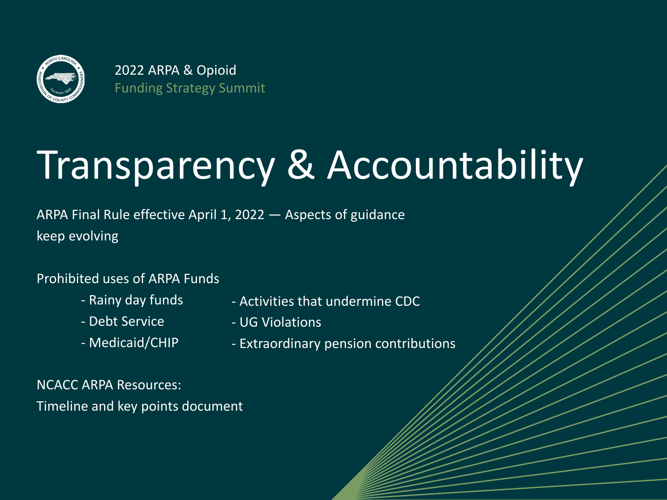

# Transparency & Accountability

ARPA Final Rule effective April 1, 2022 — Aspects of guidance keep evolving

#### Prohibited uses of ARPA Funds

- Rainy day funds
- Debt Service
- Medicaid/CHIP
- Activities that undermine CDC
- UG Violations
- Extraordinary pension contributions

NCACC ARPA Resources: Timeline and key points document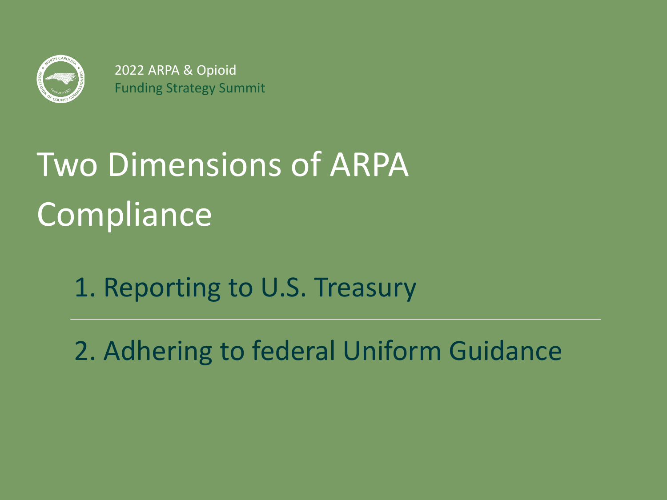

# Two Dimensions of ARPA **Compliance**

1. Reporting to U.S. Treasury

2. Adhering to federal Uniform Guidance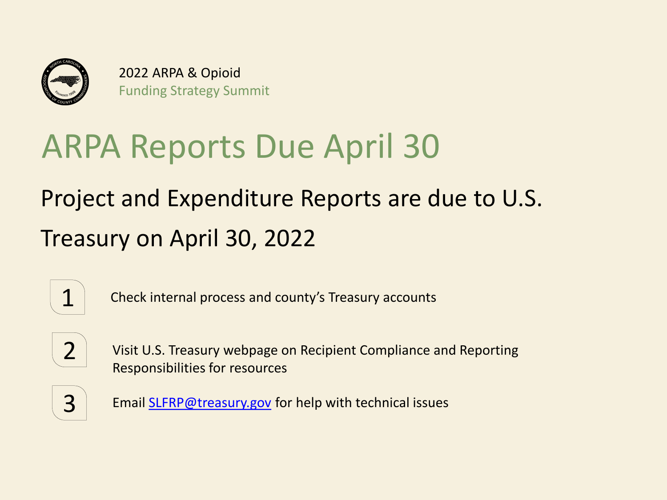

## ARPA Reports Due April 30

## Project and Expenditure Reports are due to U.S. Treasury on April 30, 2022



 $\mathbf{1}$   $\vert$  Check internal process and county's Treasury accounts



2 Visit U.S. Treasury webpage on Recipient Compliance and Reporting Responsibilities for resources



3 Email **SLFRP@treasury.gov** for help with technical issues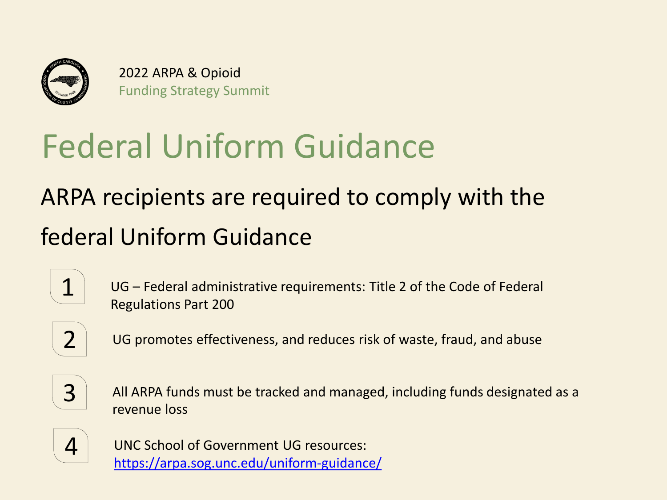

# Federal Uniform Guidance

## ARPA recipients are required to comply with the federal Uniform Guidance





 $2$  UG promotes effectiveness, and reduces risk of waste, fraud, and abuse



 $3$  All ARPA funds must be tracked and managed, including funds designated as a revenue loss



4 | UNC School of Government UG resources: <https://arpa.sog.unc.edu/uniform-guidance/>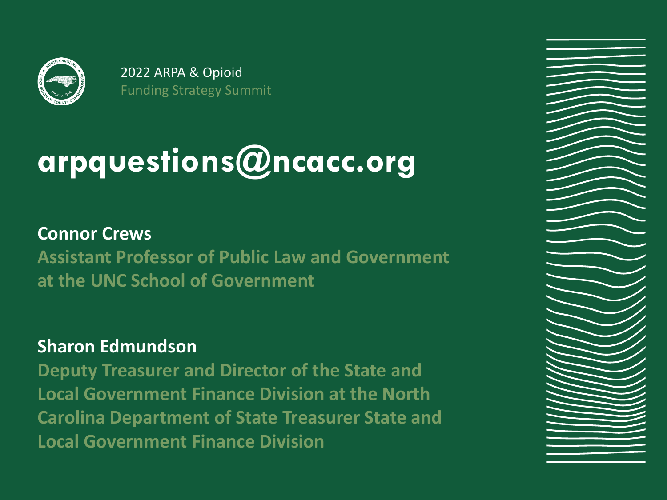

# **arpquestions@ncacc.org**

### **Connor Crews**

**Assistant Professor of Public Law and Government at the UNC School of Government**

### **Sharon Edmundson**

**Deputy Treasurer and Director of the State and Local Government Finance Division at the North Carolina Department of State Treasurer State and Local Government Finance Division**

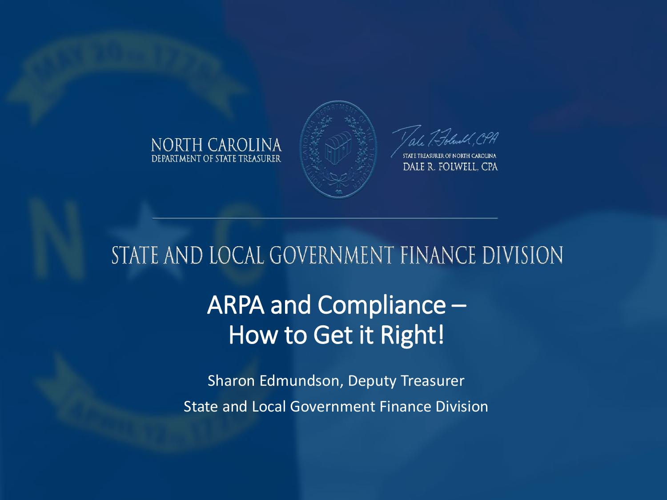



STATE TREASURER OF NORTH CAROLINA DALE R. FOLWELL, CPA

### STATE AND LOCAL GOVERNMENT FINANCE DIVISION

### ARPA and Compliance – How to Get it Right!

Sharon Edmundson, Deputy Treasurer State and Local Government Finance Division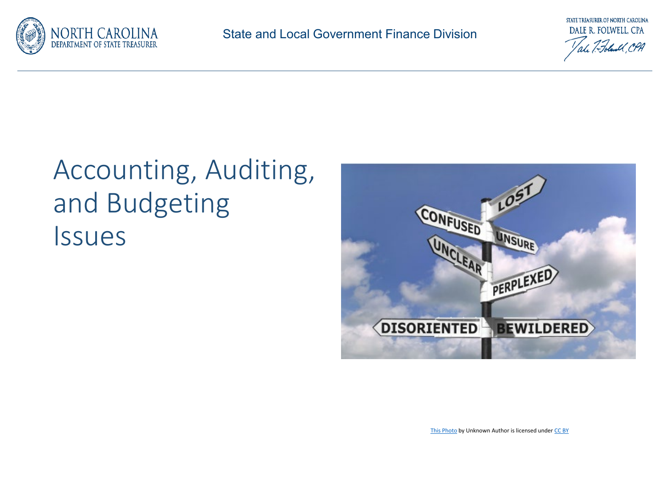



## Accounting, Auditing, and Budgeting Issues



[This Photo](http://justinangel.net/SilverlightIsnTFullyCrossPlatform) by Unknown Author is licensed under [CC BY](https://creativecommons.org/licenses/by/3.0/)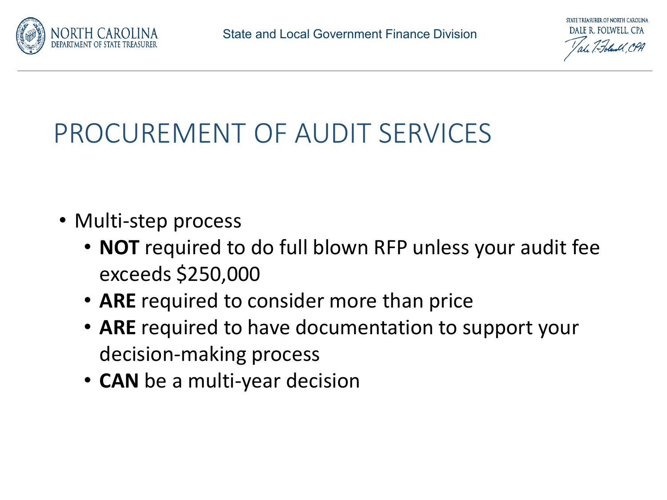



- Multi-step process
	- **NOT** required to do full blown RFP unless your audit fee exceeds \$250,000
	- **ARE** required to consider more than price
	- **ARE** required to have documentation to support your decision-making process
	- **CAN** be a multi-year decision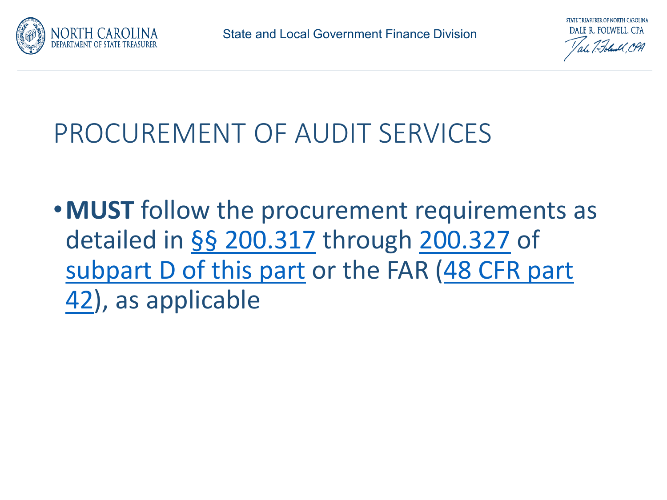



•**MUST** follow the procurement requirements as detailed in §§ [200.317](https://www.ecfr.gov/current/title-2/section-200.317) through [200.327](https://www.ecfr.gov/current/title-2/section-200.327) of [subpart D of this part](https://www.ecfr.gov/current/title-2/part-200/subpart-D) [or the FAR \(48 CFR part](https://www.ecfr.gov/current/title-48/part-42)  42), as applicable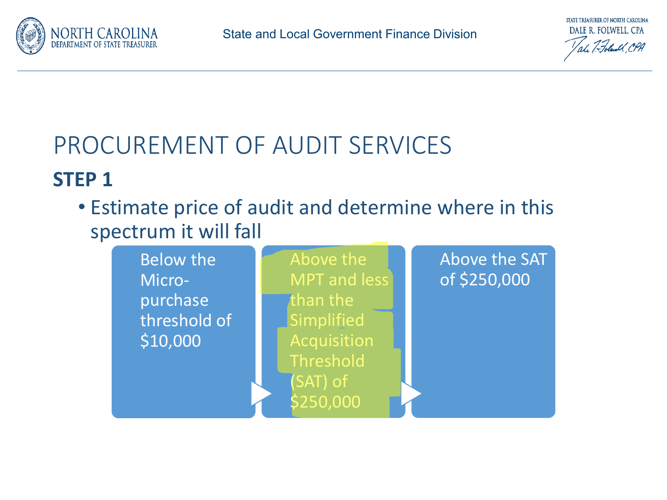



### **STEP 1**

• Estimate price of audit and determine where in this spectrum it will fall

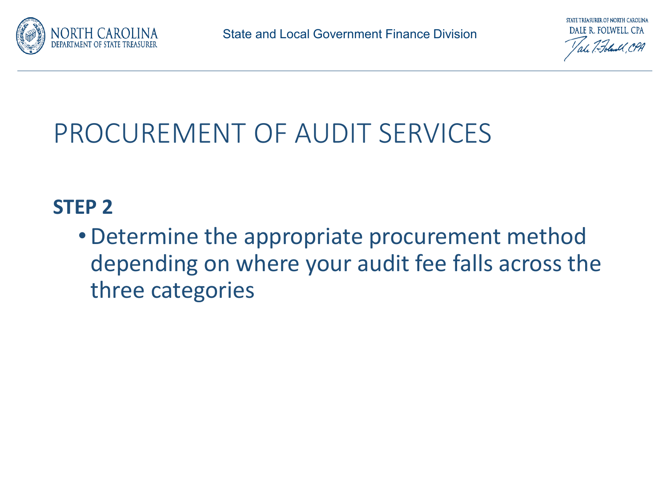



### **STEP 2**

•Determine the appropriate procurement method depending on where your audit fee falls across the three categories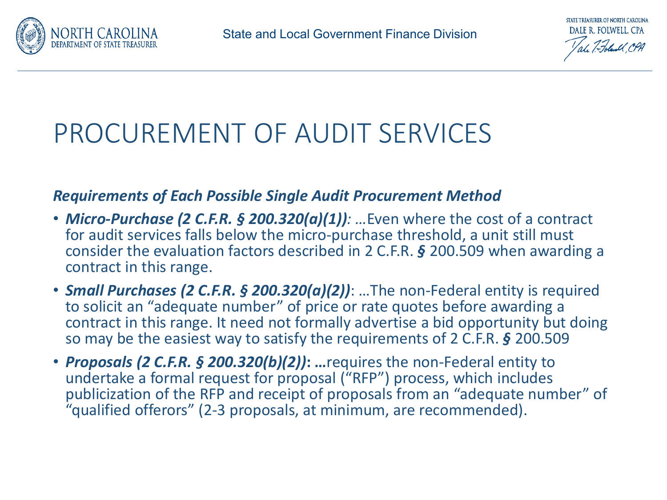

#### *Requirements of Each Possible Single Audit Procurement Method*

- *Micro-Purchase (2 C.F.R. § 200.320(a)(1)): …*Even where the cost of a contract for audit services falls below the micro-purchase threshold, a unit still must consider the evaluation factors described in 2 C.F.R. *§* 200.509 when awarding a contract in this range.
- *Small Purchases (2 C.F.R. § 200.320(a)(2))*: …The non-Federal entity is required to solicit an "adequate number" of price or rate quotes before awarding a contract in this range. It need not formally advertise a bid opportunity but doing so may be the easiest way to satisfy the requirements of 2 C.F.R. *§* 200.509
- *Proposals (2 C.F.R. § 200.320(b)(2))***: …**requires the non-Federal entity to undertake a formal request for proposal ("RFP") process, which includes publicization of the RFP and receipt of proposals from an "adequate number" of "qualified offerors" (2-3 proposals, at minimum, are recommended).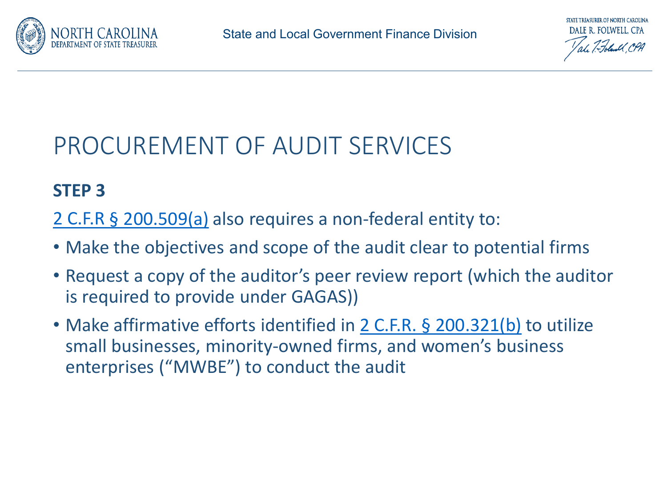

### **STEP 3**

- 2 C.F.R § [200.509\(a\)](https://www.law.cornell.edu/cfr/text/2/200.509) also requires a non-federal entity to:
- Make the objectives and scope of the audit clear to potential firms
- Request a copy of the auditor's peer review report (which the auditor is required to provide under GAGAS))
- Make affirmative efforts identified in 2 C.F.R. § [200.321\(b\)](https://www.law.cornell.edu/cfr/text/2/200.321) to utilize small businesses, minority-owned firms, and women's business enterprises ("MWBE") to conduct the audit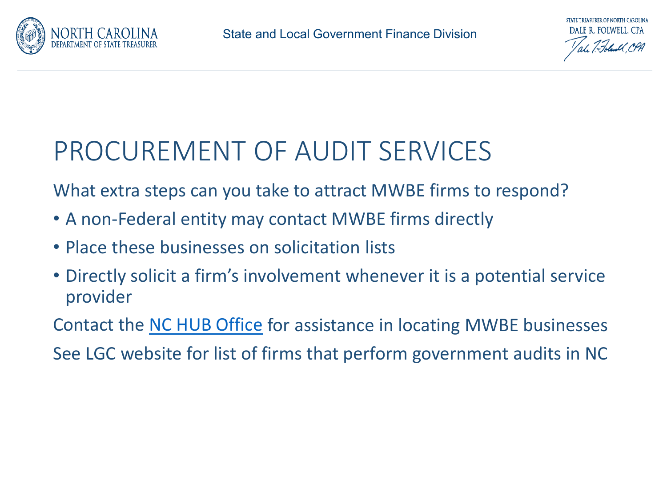

What extra steps can you take to attract MWBE firms to respond?

- A non-Federal entity may contact MWBE firms directly
- Place these businesses on solicitation lists
- Directly solicit a firm's involvement whenever it is a potential service provider

Contact the [NC HUB Office](https://ncadmin.nc.gov/businesses/historically-underutilized-businesses-hub) for assistance in locating MWBE businesses

See LGC website for list of firms that perform government audits in NC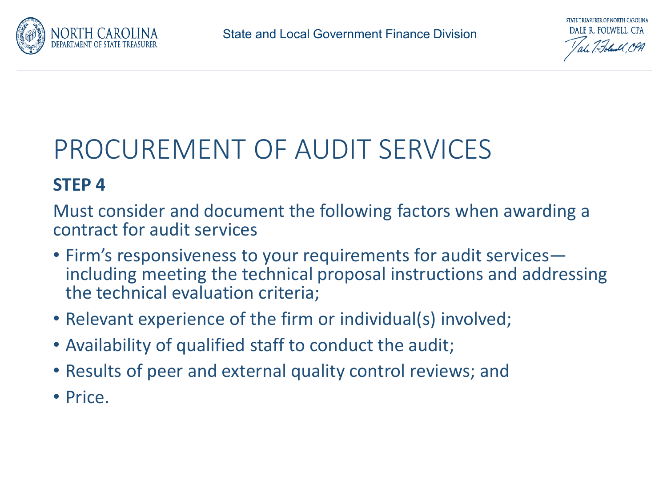

### **STEP 4**

Must consider and document the following factors when awarding a contract for audit services

- Firm's responsiveness to your requirements for audit services— including meeting the technical proposal instructions and addressing the technical evaluation criteria;
- Relevant experience of the firm or individual(s) involved;
- Availability of qualified staff to conduct the audit;
- Results of peer and external quality control reviews; and
- Price.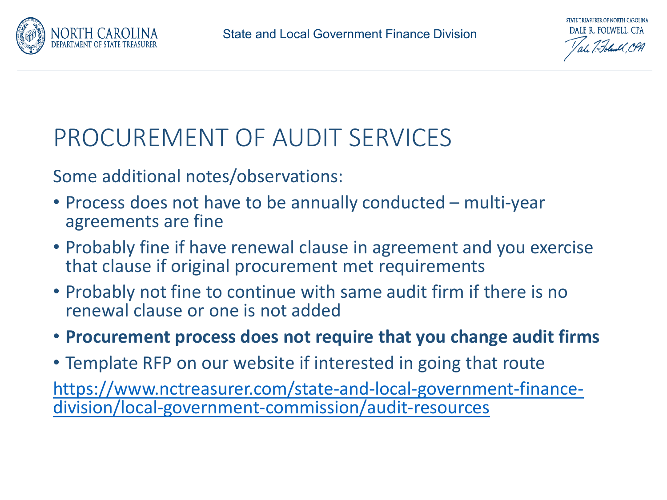

### Some additional notes/observations:

- Process does not have to be annually conducted multi-year agreements are fine
- Probably fine if have renewal clause in agreement and you exercise that clause if original procurement met requirements
- Probably not fine to continue with same audit firm if there is no renewal clause or one is not added

### • **Procurement process does not require that you change audit firms**

• Template RFP on our website if interested in going that route

[https://www.nctreasurer.com/state-and-local-government-finance-](https://www.nctreasurer.com/state-and-local-government-finance-division/local-government-commission/audit-resources) division/local-government-commission/audit-resources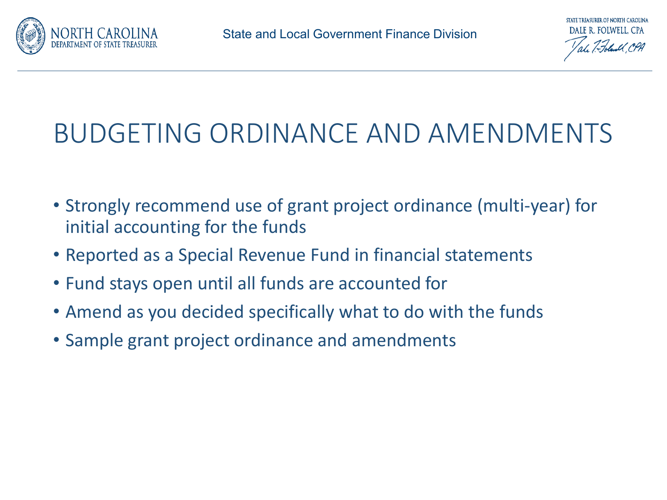



## BUDGETING ORDINANCE AND AMENDMENTS

- Strongly recommend use of grant project ordinance (multi-year) for initial accounting for the funds
- Reported as a Special Revenue Fund in financial statements
- Fund stays open until all funds are accounted for
- Amend as you decided specifically what to do with the funds
- Sample grant project ordinance and amendments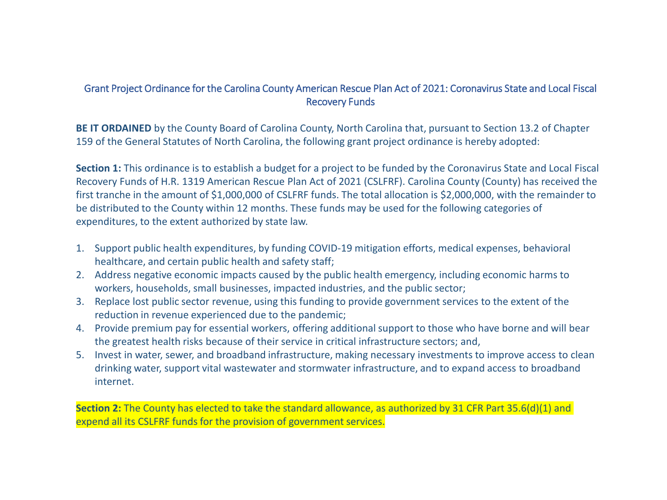#### Grant Project Ordinance for the Carolina County American Rescue Plan Act of 2021: Coronavirus State and Local Fiscal Recovery Funds

**BE IT ORDAINED** by the County Board of Carolina County, North Carolina that, pursuant to Section 13.2 of Chapter 159 of the General Statutes of North Carolina, the following grant project ordinance is hereby adopted:

**Section 1:** This ordinance is to establish a budget for a project to be funded by the Coronavirus State and Local Fiscal Recovery Funds of H.R. 1319 American Rescue Plan Act of 2021 (CSLFRF). Carolina County (County) has received the first tranche in the amount of \$1,000,000 of CSLFRF funds. The total allocation is \$2,000,000, with the remainder to be distributed to the County within 12 months. These funds may be used for the following categories of expenditures, to the extent authorized by state law.

- 1. Support public health expenditures, by funding COVID-19 mitigation efforts, medical expenses, behavioral healthcare, and certain public health and safety staff;
- 2. Address negative economic impacts caused by the public health emergency, including economic harms to workers, households, small businesses, impacted industries, and the public sector;
- 3. Replace lost public sector revenue, using this funding to provide government services to the extent of the reduction in revenue experienced due to the pandemic;
- 4. Provide premium pay for essential workers, offering additional support to those who have borne and will bear the greatest health risks because of their service in critical infrastructure sectors; and,
- 5. Invest in water, sewer, and broadband infrastructure, making necessary investments to improve access to clean drinking water, support vital wastewater and stormwater infrastructure, and to expand access to broadband internet.

**Section 2:** The County has elected to take the standard allowance, as authorized by 31 CFR Part 35.6(d)(1) and expend all its CSLFRF funds for the provision of government services.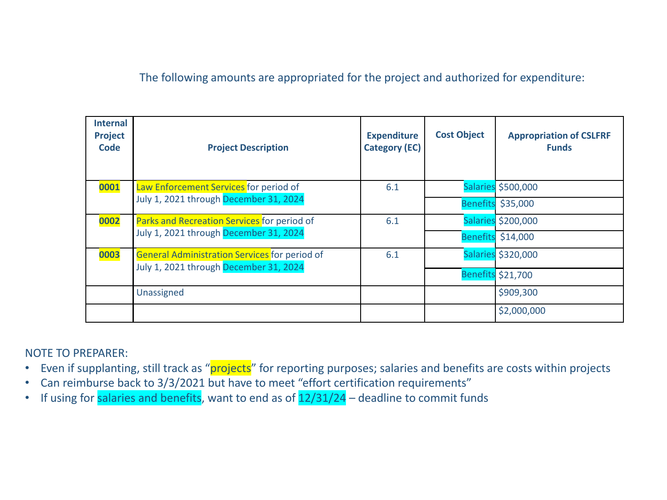#### The following amounts are appropriated for the project and authorized for expenditure:

| <b>Internal</b><br>Project<br>Code | <b>Project Description</b>                                                              | <b>Expenditure</b><br><b>Category (EC)</b> | <b>Cost Object</b> | <b>Appropriation of CSLFRF</b><br><b>Funds</b> |
|------------------------------------|-----------------------------------------------------------------------------------------|--------------------------------------------|--------------------|------------------------------------------------|
| 0001                               | Law Enforcement Services for period of<br>July 1, 2021 through December 31, 2024        | 6.1                                        |                    | Salaries \$500,000                             |
|                                    |                                                                                         |                                            |                    | Benefits \$35,000                              |
| 0002                               | Parks and Recreation Services for period of<br>July 1, 2021 through December 31, 2024   | 6.1                                        |                    | Salaries \$200,000                             |
|                                    |                                                                                         |                                            |                    | Benefits \$14,000                              |
| 0003                               | General Administration Services for period of<br>July 1, 2021 through December 31, 2024 | 6.1                                        |                    | Salaries \$320,000                             |
|                                    |                                                                                         |                                            |                    | Benefits \$21,700                              |
|                                    | Unassigned                                                                              |                                            |                    | \$909,300                                      |
|                                    |                                                                                         |                                            |                    | \$2,000,000                                    |

#### NOTE TO PREPARER:

- Even if supplanting, still track as "projects" for reporting purposes; salaries and benefits are costs within projects
- Can reimburse back to 3/3/2021 but have to meet "effort certification requirements"
- If using for salaries and benefits, want to end as of  $12/31/24$  deadline to commit funds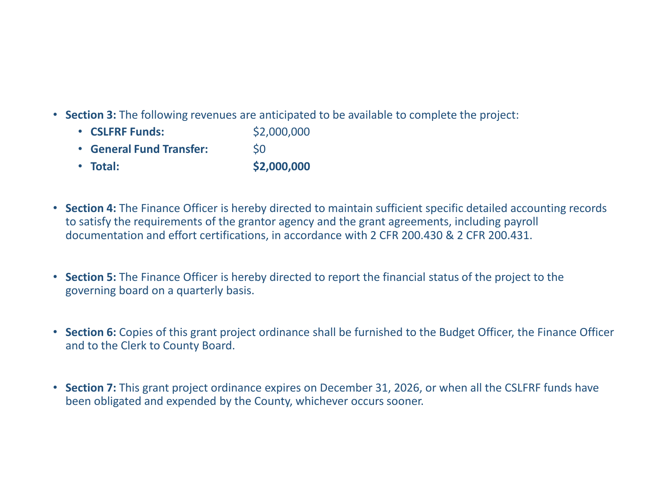- **Section 3:** The following revenues are anticipated to be available to complete the project:
	- **CSLFRF Funds:** \$2,000,000 • **General Fund Transfer:** \$0
	- **Total: \$2,000,000**
- **Section 4:** The Finance Officer is hereby directed to maintain sufficient specific detailed accounting records to satisfy the requirements of the grantor agency and the grant agreements, including payroll documentation and effort certifications, in accordance with 2 CFR 200.430 & 2 CFR 200.431.
- **Section 5:** The Finance Officer is hereby directed to report the financial status of the project to the governing board on a quarterly basis.
- **Section 6:** Copies of this grant project ordinance shall be furnished to the Budget Officer, the Finance Officer and to the Clerk to County Board.
- **Section 7:** This grant project ordinance expires on December 31, 2026, or when all the CSLFRF funds have been obligated and expended by the County, whichever occurs sooner.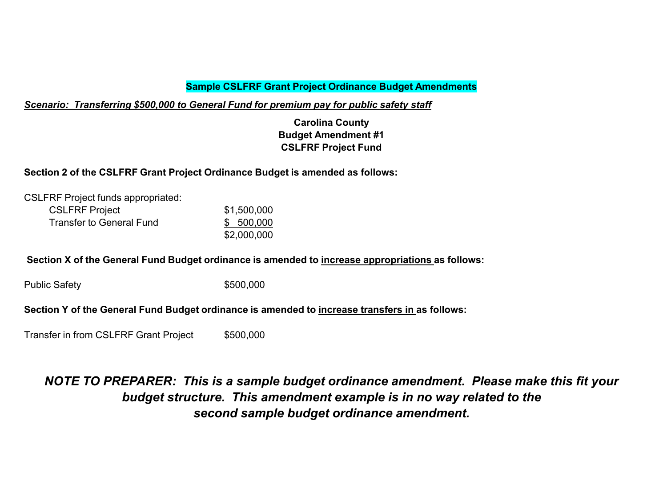#### **Sample CSLFRF Grant Project Ordinance Budget Amendments**

*Scenario: Transferring \$500,000 to General Fund for premium pay for public safety staff*

**Carolina County Budget Amendment #1 CSLFRF Project Fund**

#### **Section 2 of the CSLFRF Grant Project Ordinance Budget is amended as follows:**

| <b>CSLFRF Project funds appropriated:</b> |             |
|-------------------------------------------|-------------|
| <b>CSLFRF Project</b>                     | \$1,500,000 |
| Transfer to General Fund                  | \$ 500,000  |
|                                           | \$2,000,000 |

#### **Section X of the General Fund Budget ordinance is amended to increase appropriations as follows:**

Public Safety **\$500,000** 

#### **Section Y of the General Fund Budget ordinance is amended to increase transfers in as follows:**

Transfer in from CSLFRF Grant Project \$500,000

#### *NOTE TO PREPARER: This is a sample budget ordinance amendment. Please make this fit your budget structure. This amendment example is in no way related to the second sample budget ordinance amendment.*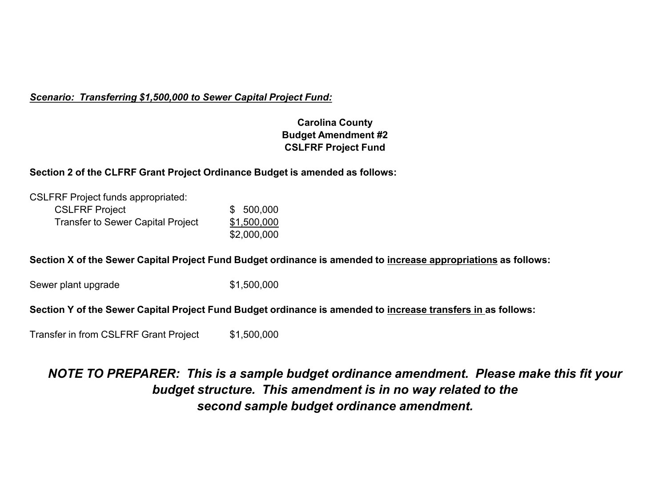#### *Scenario: Transferring \$1,500,000 to Sewer Capital Project Fund:*

#### **Carolina County Budget Amendment #2 CSLFRF Project Fund**

#### **Section 2 of the CLFRF Grant Project Ordinance Budget is amended as follows:**

| <b>CSLFRF Project funds appropriated:</b> |             |
|-------------------------------------------|-------------|
| <b>CSLFRF Project</b>                     | \$500,000   |
| <b>Transfer to Sewer Capital Project</b>  | \$1,500,000 |
|                                           | \$2,000,000 |

#### **Section X of the Sewer Capital Project Fund Budget ordinance is amended to increase appropriations as follows:**

Sewer plant upgrade  $$1,500,000$ 

#### **Section Y of the Sewer Capital Project Fund Budget ordinance is amended to increase transfers in as follows:**

Transfer in from CSLFRF Grant Project \$1,500,000

#### *NOTE TO PREPARER: This is a sample budget ordinance amendment. Please make this fit your budget structure. This amendment is in no way related to the second sample budget ordinance amendment.*